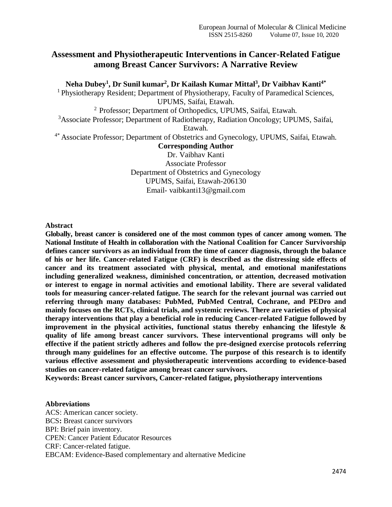## **Assessment and Physiotherapeutic Interventions in Cancer-Related Fatigue among Breast Cancer Survivors: A Narrative Review**

**Neha Dubey<sup>1</sup> , Dr Sunil kumar<sup>2</sup> , Dr Kailash Kumar Mittal<sup>3</sup> , Dr Vaibhav Kanti4\***

<sup>1</sup> Physiotherapy Resident; Department of Physiotherapy, Faculty of Paramedical Sciences, UPUMS, Saifai, Etawah.

<sup>2</sup> Professor; Department of Orthopedics, UPUMS, Saifai, Etawah.

<sup>3</sup>Associate Professor; Department of Radiotherapy, Radiation Oncology; UPUMS, Saifai,

Etawah.

4\* Associate Professor; Department of Obstetrics and Gynecology, UPUMS, Saifai, Etawah.

**Corresponding Author**

Dr. Vaibhav Kanti Associate Professor Department of Obstetrics and Gynecology UPUMS, Saifai, Etawah-206130 Email- vaibkanti13@gmail.com

**Abstract**

**Globally, breast cancer is considered one of the most common types of cancer among women. The National Institute of Health in collaboration with the National Coalition for Cancer Survivorship defines cancer survivors as an individual from the time of cancer diagnosis, through the balance of his or her life. Cancer-related Fatigue (CRF) is described as the distressing side effects of cancer and its treatment associated with physical, mental, and emotional manifestations including generalized weakness, diminished concentration, or attention, decreased motivation or interest to engage in normal activities and emotional lability. There are several validated tools for measuring cancer-related fatigue. The search for the relevant journal was carried out referring through many databases: PubMed, PubMed Central, Cochrane, and PEDro and mainly focuses on the RCTs, clinical trials, and systemic reviews. There are varieties of physical therapy interventions that play a beneficial role in reducing Cancer-related Fatigue followed by improvement in the physical activities, functional status thereby enhancing the lifestyle & quality of life among breast cancer survivors. These interventional programs will only be effective if the patient strictly adheres and follow the pre-designed exercise protocols referring through many guidelines for an effective outcome. The purpose of this research is to identify various effective assessment and physiotherapeutic interventions according to evidence-based studies on cancer-related fatigue among breast cancer survivors.**

**Keywords: Breast cancer survivors, Cancer-related fatigue, physiotherapy interventions**

## **Abbreviations** ACS: American cancer society. BCS**:** Breast cancer survivors BPI: Brief pain inventory. CPEN: Cancer Patient Educator Resources CRF: Cancer-related fatigue. EBCAM: Evidence-Based complementary and alternative Medicine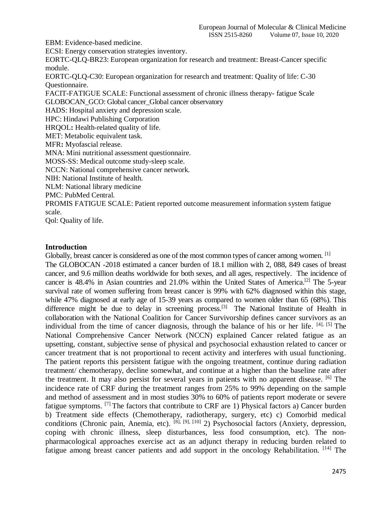EBM: Evidence-based medicine.

ECSI: Energy conservation strategies inventory.

EORTC-QLQ-BR23: European organization for research and treatment: Breast-Cancer specific module.

EORTC-QLQ-C30: European organization for research and treatment: Quality of life: C-30 Questionnaire.

FACIT-FATIGUE SCALE: Functional assessment of chronic illness therapy- fatigue Scale GLOBOCAN\_GCO: Global cancer\_Global cancer observatory

HADS: Hospital anxiety and depression scale.

HPC: Hindawi Publishing Corporation

HRQOL**:** Health-related quality of life.

MET: Metabolic equivalent task.

MFR**:** Myofascial release.

MNA: Mini nutritional assessment questionnaire.

MOSS-SS: Medical outcome study-sleep scale.

NCCN: National comprehensive cancer network.

NIH: National Institute of health.

NLM: National library medicine

PMC: PubMed Central.

PROMIS FATIGUE SCALE: Patient reported outcome measurement information system fatigue scale.

Qol: Quality of life.

## **Introduction**

Globally, breast cancer is considered as one of the most common types of cancer among women. <sup>[1]</sup> The GLOBOCAN -2018 estimated a cancer burden of 18.1 million with 2, 088, 849 cases of breast cancer, and 9.6 million deaths worldwide for both sexes, and all ages, respectively. The incidence of cancer is 48.4% in Asian countries and 21.0% within the United States of America.<sup>[2]</sup> The 5-year survival rate of women suffering from breast cancer is 99% with 62% diagnosed within this stage, while 47% diagnosed at early age of 15-39 years as compared to women older than 65 (68%). This difference might be due to delay in screening process.<sup>[3]</sup> The National Institute of Health in collaboration with the National Coalition for Cancer Survivorship defines cancer survivors as an individual from the time of cancer diagnosis, through the balance of his or her life. [4], [5] The National Comprehensive Cancer Network (NCCN) explained Cancer related fatigue as an upsetting, constant, subjective sense of physical and psychosocial exhaustion related to cancer or cancer treatment that is not proportional to recent activity and interferes with usual functioning. The patient reports this persistent fatigue with the ongoing treatment, continue during radiation treatment/ chemotherapy, decline somewhat, and continue at a higher than the baseline rate after the treatment. It may also persist for several years in patients with no apparent disease. [6] The incidence rate of CRF during the treatment ranges from 25% to 99% depending on the sample and method of assessment and in most studies 30% to 60% of patients report moderate or severe fatigue symptoms. <sup>[7]</sup> The factors that contribute to CRF are 1) Physical factors a) Cancer burden b) Treatment side effects (Chemotherapy, radiotherapy, surgery, etc) c) Comorbid medical conditions (Chronic pain, Anemia, etc).  $^{[8]$ ,  $[9]$ ,  $[10]$  2) Psychosocial factors (Anxiety, depression, coping with chronic illness, sleep disturbances, less food consumption, etc). The nonpharmacological approaches exercise act as an adjunct therapy in reducing burden related to fatigue among breast cancer patients and add support in the oncology Rehabilitation. <sup>[14]</sup> The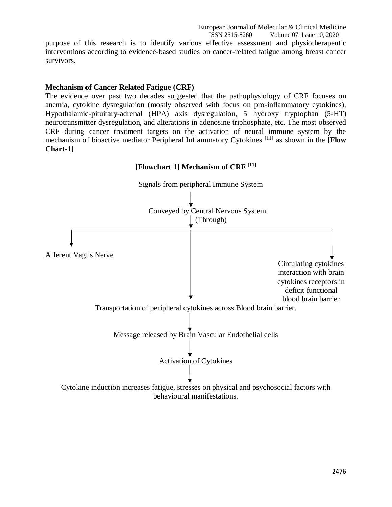European Journal of Molecular & Clinical Medicine<br>ISSN 2515-8260 Volume 07, Issue 10, 2020 Volume 07, Issue 10, 2020

purpose of this research is to identify various effective assessment and physiotherapeutic interventions according to evidence-based studies on cancer-related fatigue among breast cancer survivors.

## **Mechanism of Cancer Related Fatigue (CRF)**

The evidence over past two decades suggested that the pathophysiology of CRF focuses on anemia, cytokine dysregulation (mostly observed with focus on pro-inflammatory cytokines), Hypothalamic-pituitary-adrenal (HPA) axis dysregulation, 5 hydroxy tryptophan (5-HT) neurotransmitter dysregulation, and alterations in adenosine triphosphate, etc. The most observed CRF during cancer treatment targets on the activation of neural immune system by the mechanism of bioactive mediator Peripheral Inflammatory Cytokines [11] as shown in the **[Flow Chart-1]**



#### 2476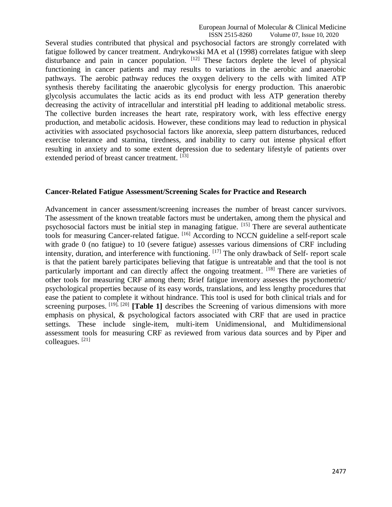Several studies contributed that physical and psychosocial factors are strongly correlated with fatigue followed by cancer treatment. Andrykowski MA et al (1998) correlates fatigue with sleep disturbance and pain in cancer population. [12] These factors deplete the level of physical functioning in cancer patients and may results to variations in the aerobic and anaerobic pathways. The aerobic pathway reduces the oxygen delivery to the cells with limited ATP synthesis thereby facilitating the anaerobic glycolysis for energy production. This anaerobic glycolysis accumulates the lactic acids as its end product with less ATP generation thereby decreasing the activity of intracellular and interstitial pH leading to additional metabolic stress. The collective burden increases the heart rate, respiratory work, with less effective energy production, and metabolic acidosis. However, these conditions may lead to reduction in physical activities with associated psychosocial factors like anorexia, sleep pattern disturbances, reduced exercise tolerance and stamina, tiredness, and inability to carry out intense physical effort resulting in anxiety and to some extent depression due to sedentary lifestyle of patients over extended period of breast cancer treatment. [13]

#### **Cancer-Related Fatigue Assessment/Screening Scales for Practice and Research**

Advancement in cancer assessment/screening increases the number of breast cancer survivors. The assessment of the known treatable factors must be undertaken, among them the physical and psychosocial factors must be initial step in managing fatigue. [15] There are several authenticate tools for measuring Cancer-related fatigue. <sup>[16]</sup> According to NCCN guideline a self-report scale with grade 0 (no fatigue) to 10 (severe fatigue) assesses various dimensions of CRF including intensity, duration, and interference with functioning. [17] The only drawback of Self- report scale is that the patient barely participates believing that fatigue is untreatable and that the tool is not particularly important and can directly affect the ongoing treatment. [18] There are varieties of other tools for measuring CRF among them; Brief fatigue inventory assesses the psychometric/ psychological properties because of its easy words, translations, and less lengthy procedures that ease the patient to complete it without hindrance. This tool is used for both clinical trials and for screening purposes. <sup>[19], [20]</sup> [Table 1] describes the Screening of various dimensions with more emphasis on physical, & psychological factors associated with CRF that are used in practice settings. These include single-item, multi-item Unidimensional, and Multidimensional assessment tools for measuring CRF as reviewed from various data sources and by Piper and colleagues. [21]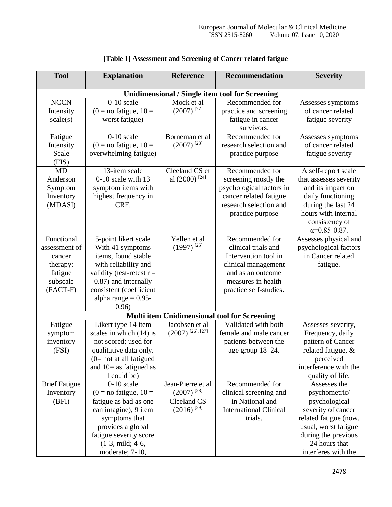| <b>Tool</b>                                                                          | <b>Explanation</b>                                                                                                                                                                                           | <b>Reference</b>                                                                | <b>Recommendation</b>                                                                                                                                      | <b>Severity</b>                                                                                                                                                                      |  |  |  |
|--------------------------------------------------------------------------------------|--------------------------------------------------------------------------------------------------------------------------------------------------------------------------------------------------------------|---------------------------------------------------------------------------------|------------------------------------------------------------------------------------------------------------------------------------------------------------|--------------------------------------------------------------------------------------------------------------------------------------------------------------------------------------|--|--|--|
|                                                                                      | <b>Unidimensional / Single item tool for Screening</b>                                                                                                                                                       |                                                                                 |                                                                                                                                                            |                                                                                                                                                                                      |  |  |  |
| <b>NCCN</b><br>Intensity<br>scale(s)                                                 | $\overline{0}$ -10 scale<br>$(0 = no$ fatigue, $10 =$<br>worst fatigue)                                                                                                                                      | Mock et al<br>$(2007)$ <sup>[22]</sup>                                          | Recommended for<br>practice and screening<br>fatigue in cancer<br>survivors.                                                                               | Assesses symptoms<br>of cancer related<br>fatigue severity                                                                                                                           |  |  |  |
| Fatigue<br>Intensity<br>Scale<br>(FIS)                                               | $0-10$ scale<br>$(0 = no$ fatigue, $10 =$<br>overwhelming fatigue)                                                                                                                                           | Borneman et al<br>$(2007)^{[23]}$                                               | Recommended for<br>research selection and<br>practice purpose                                                                                              | Assesses symptoms<br>of cancer related<br>fatigue severity                                                                                                                           |  |  |  |
| <b>MD</b><br>Anderson<br>Symptom<br>Inventory<br>(MDASI)                             | 13-item scale<br>0-10 scale with 13<br>symptom items with<br>highest frequency in<br>CRF.                                                                                                                    | Cleeland $CS$ et<br>al (2000) <sup>[24]</sup>                                   | Recommended for<br>screening mostly the<br>psychological factors in<br>cancer related fatigue<br>research selection and<br>practice purpose                | A self-report scale<br>that assesses severity<br>and its impact on<br>daily functioning<br>during the last 24<br>hours with internal<br>consistency of<br>$\alpha = 0.85 - 0.87$ .   |  |  |  |
| Functional<br>assessment of<br>cancer<br>therapy:<br>fatigue<br>subscale<br>(FACT-F) | 5-point likert scale<br>With 41 symptoms<br>items, found stable<br>with reliability and<br>validity (test-retest $r =$<br>0.87) and internally<br>consistent (coefficient<br>alpha range $= 0.95$ -<br>0.96) | Yellen et al<br>$(1997)$ <sup>[25]</sup>                                        | Recommended for<br>clinical trials and<br>Intervention tool in<br>clinical management<br>and as an outcome<br>measures in health<br>practice self-studies. | Assesses physical and<br>psychological factors<br>in Cancer related<br>fatigue.                                                                                                      |  |  |  |
| Multi item Unidimensional tool for Screening                                         |                                                                                                                                                                                                              |                                                                                 |                                                                                                                                                            |                                                                                                                                                                                      |  |  |  |
| Fatigue<br>symptom<br>inventory<br>(FSI)                                             | Likert type 14 item<br>scales in which (14) is<br>not scored; used for<br>qualitative data only.<br>$(0=$ not at all fatigued<br>and $10=$ as fatigued as<br>I could be)                                     | Jacobsen et al<br>$(2007)$ <sup>[26], [27]</sup>                                | Validated with both<br>female and male cancer<br>patients between the<br>age group 18-24.                                                                  | Assesses severity,<br>Frequency, daily<br>pattern of Cancer<br>related fatigue, &<br>perceived<br>interference with the<br>quality of life.                                          |  |  |  |
| <b>Brief Fatigue</b><br>Inventory<br>(BFI)                                           | $0-10$ scale<br>$(0 = no$ fatigue, $10 =$<br>fatigue as bad as one<br>can imagine), 9 item<br>symptoms that<br>provides a global<br>fatigue severity score<br>$(1-3, \text{ mild}; 4-6,$<br>moderate; 7-10,  | Jean-Pierre et al<br>$(2007)^{[28]}$<br>Cleeland CS<br>$(2016)$ <sup>[29]</sup> | Recommended for<br>clinical screening and<br>in National and<br><b>International Clinical</b><br>trials.                                                   | Assesses the<br>psychometric/<br>psychological<br>severity of cancer<br>related fatigue (now,<br>usual, worst fatigue<br>during the previous<br>24 hours that<br>interferes with the |  |  |  |

## **[Table 1] Assessment and Screening of Cancer related fatigue**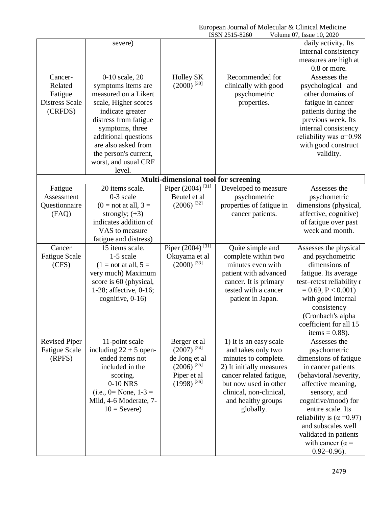|                       |                          |                                      | ISSN 2515-8260           | Volume 07, Issue 10, 2020        |
|-----------------------|--------------------------|--------------------------------------|--------------------------|----------------------------------|
|                       | severe)                  |                                      |                          | daily activity. Its              |
|                       |                          |                                      |                          | Internal consistency             |
|                       |                          |                                      |                          | measures are high at             |
|                       |                          |                                      |                          | 0.8 or more.                     |
| Cancer-               | 0-10 scale, 20           | Holley SK                            | Recommended for          | Assesses the                     |
| Related               | symptoms items are       | $(2000)$ <sup>[30]</sup>             | clinically with good     | psychological and                |
| Fatigue               | measured on a Likert     |                                      | psychometric             | other domains of                 |
| <b>Distress Scale</b> | scale, Higher scores     |                                      | properties.              | fatigue in cancer                |
| (CRFDS)               | indicate greater         |                                      |                          | patients during the              |
|                       | distress from fatigue    |                                      |                          | previous week. Its               |
|                       | symptoms, three          |                                      |                          | internal consistency             |
|                       | additional questions     |                                      |                          | reliability was $\alpha = 0.98$  |
|                       | are also asked from      |                                      |                          | with good construct              |
|                       | the person's current,    |                                      |                          | validity.                        |
|                       | worst, and usual CRF     |                                      |                          |                                  |
|                       | level.                   |                                      |                          |                                  |
|                       |                          | Multi-dimensional tool for screening |                          |                                  |
| Fatigue               | 20 items scale.          | Piper $(2004)^{[31]}$                | Developed to measure     | Assesses the                     |
| Assessment            | $0-3$ scale              | Beutel et al                         | psychometric             | psychometric                     |
| Questionnaire         | $(0 = not at all, 3 =$   | $(2006)$ <sup>[32]</sup>             | properties of fatigue in | dimensions (physical,            |
| (FAQ)                 | strongly; $(+3)$         |                                      | cancer patients.         | affective, cognitive)            |
|                       | indicates addition of    |                                      |                          | of fatigue over past             |
|                       | VAS to measure           |                                      |                          | week and month.                  |
|                       | fatigue and distress)    |                                      |                          |                                  |
| Cancer                | 15 items scale.          | Piper $(2004)^{[31]}$                | Quite simple and         | Assesses the physical            |
| <b>Fatigue Scale</b>  | 1-5 scale                | Okuyama et al                        | complete within two      | and psychometric                 |
| (CFS)                 | $(1 = not at all, 5 =$   | $(2000)$ <sup>[33]</sup>             | minutes even with        | dimensions of                    |
|                       | very much) Maximum       |                                      | patient with advanced    | fatigue. Its average             |
|                       | score is 60 (physical,   |                                      | cancer. It is primary    | test-retest reliability r        |
|                       | 1-28; affective, 0-16;   |                                      | tested with a cancer     | $= 0.69, P < 0.001$              |
|                       | cognitive, $0-16$ )      |                                      | patient in Japan.        | with good internal               |
|                       |                          |                                      |                          | consistency                      |
|                       |                          |                                      |                          | (Cronbach's alpha                |
|                       |                          |                                      |                          | coefficient for all 15           |
|                       |                          |                                      |                          | items = $0.88$ ).                |
| <b>Revised Piper</b>  | 11-point scale           | Berger et al                         | 1) It is an easy scale   | Assesses the                     |
| <b>Fatigue Scale</b>  | including $22 + 5$ open- | $(2007)^{[34]}$                      | and takes only two       | psychometric                     |
| (RPFS)                | ended items not          | de Jong et al                        | minutes to complete.     | dimensions of fatigue            |
|                       | included in the          | $(2006)$ <sup>[35]</sup>             | 2) It initially measures | in cancer patients               |
|                       | scoring.                 | Piper et al                          | cancer related fatigue,  | (behavioral /severity,           |
|                       | 0-10 NRS                 | $(1998)$ <sup>[36]</sup>             | but now used in other    | affective meaning,               |
|                       | $(i.e., 0= None, 1-3 =$  |                                      | clinical, non-clinical,  | sensory, and                     |
|                       | Mild, 4-6 Moderate, 7-   |                                      | and healthy groups       | cognitive/mood) for              |
|                       | $10 =$ Severe)           |                                      | globally.                | entire scale. Its                |
|                       |                          |                                      |                          | reliability is $(\alpha = 0.97)$ |
|                       |                          |                                      |                          | and subscales well               |
|                       |                          |                                      |                          |                                  |
|                       |                          |                                      |                          | validated in patients            |
|                       |                          |                                      |                          | with cancer ( $\alpha$ =         |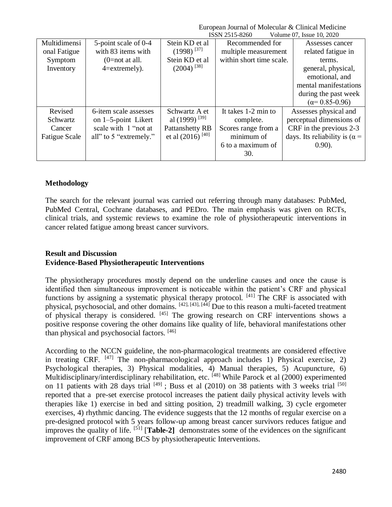|                        |                                |                                              | Volume 07, Issue 10, 2020             |
|------------------------|--------------------------------|----------------------------------------------|---------------------------------------|
| 5-point scale of 0-4   | Stein KD et al                 | Recommended for                              | Assesses cancer                       |
| with 83 items with     | $(1998)^{[37]}$                | multiple measurement                         | related fatigue in                    |
| $(0=$ not at all.      | Stein KD et al                 | within short time scale.                     | terms.                                |
| $4 =$ extremely).      |                                |                                              | general, physical,                    |
|                        |                                |                                              | emotional, and                        |
|                        |                                |                                              | mental manifestations                 |
|                        |                                |                                              | during the past week                  |
|                        |                                |                                              | $(\alpha = 0.85 - 0.96)$              |
| 6-item scale assesses  | Schwartz A et                  | It takes 1-2 min to                          | Assesses physical and                 |
| on $1-5$ -point Likert |                                | complete.                                    | perceptual dimensions of              |
| scale with 1 "not at   | Pattanshetty RB                | Scores range from a                          | CRF in the previous 2-3               |
| all" to 5 "extremely." | et al $(2016)$ <sup>[40]</sup> | minimum of                                   | days. Its reliability is ( $\alpha$ = |
|                        |                                | 6 to a maximum of                            | $0.90$ ).                             |
|                        |                                | 30.                                          |                                       |
|                        |                                | $(2004)^{[38]}$<br>al (1999) <sup>[39]</sup> | ISSN 2515-8260                        |

## **Methodology**

The search for the relevant journal was carried out referring through many databases: PubMed, PubMed Central, Cochrane databases, and PEDro. The main emphasis was given on RCTs, clinical trials, and systemic reviews to examine the role of physiotherapeutic interventions in cancer related fatigue among breast cancer survivors.

## **Result and Discussion Evidence-Based Physiotherapeutic Interventions**

The physiotherapy procedures mostly depend on the underline causes and once the cause is identified then simultaneous improvement is noticeable within the patient's CRF and physical functions by assigning a systematic physical therapy protocol.  $[41]$  The CRF is associated with physical, psychosocial, and other domains. [42], [43], [44] Due to this reason a multi-faceted treatment of physical therapy is considered. [45] The growing research on CRF interventions shows a positive response covering the other domains like quality of life, behavioral manifestations other than physical and psychosocial factors. [46]

According to the NCCN guideline, the non-pharmacological treatments are considered effective in treating CRF.  $[47]$  The non-pharmacological approach includes 1) Physical exercise, 2) Psychological therapies, 3) Physical modalities, 4) Manual therapies, 5) Acupuncture, 6) Multidisciplinary/interdisciplinary rehabilitation, etc. [48] While Parock et al (2000) experimented on 11 patients with 28 days trial  $[49]$ ; Buss et al (2010) on 38 patients with 3 weeks trial  $[50]$ reported that a pre-set exercise protocol increases the patient daily physical activity levels with therapies like 1) exercise in bed and sitting position, 2) treadmill walking, 3) cycle ergometer exercises, 4) rhythmic dancing. The evidence suggests that the 12 months of regular exercise on a pre-designed protocol with 5 years follow-up among breast cancer survivors reduces fatigue and improves the quality of life. [51] [**Table-2]** demonstrates some of the evidences on the significant improvement of CRF among BCS by physiotherapeutic Interventions.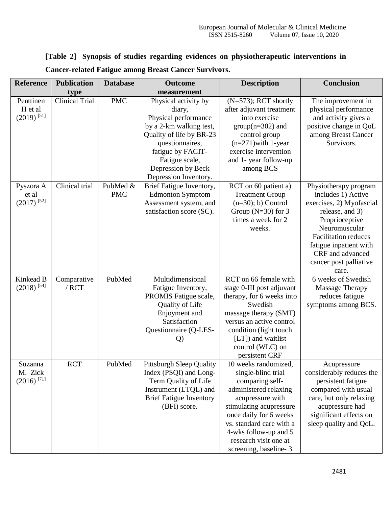| <b>Reference</b>                                 | <b>Publication</b>     | <b>Database</b>        | <b>Outcome</b>                                                                                                                                               | <b>Description</b>                                                                                                                                                                                                                                                     | <b>Conclusion</b>                                                                                                                                                                                                                             |
|--------------------------------------------------|------------------------|------------------------|--------------------------------------------------------------------------------------------------------------------------------------------------------------|------------------------------------------------------------------------------------------------------------------------------------------------------------------------------------------------------------------------------------------------------------------------|-----------------------------------------------------------------------------------------------------------------------------------------------------------------------------------------------------------------------------------------------|
|                                                  | type                   |                        | measurement                                                                                                                                                  |                                                                                                                                                                                                                                                                        |                                                                                                                                                                                                                                               |
| Penttinen<br>H et al<br>$(2019)$ <sup>[51]</sup> | <b>Clinical Trial</b>  | <b>PMC</b>             | Physical activity by<br>diary,<br>Physical performance                                                                                                       | $(N=573)$ ; RCT shortly<br>after adjuvant treatment<br>into exercise                                                                                                                                                                                                   | The improvement in<br>physical performance<br>and activity gives a                                                                                                                                                                            |
|                                                  |                        |                        | by a 2-km walking test,<br>Quality of life by BR-23<br>questionnaires,<br>fatigue by FACIT-                                                                  | $group(n=302)$ and<br>control group<br>$(n=271)$ with 1-year<br>exercise intervention                                                                                                                                                                                  | positive change in QoL<br>among Breast Cancer<br>Survivors.                                                                                                                                                                                   |
|                                                  |                        |                        | Fatigue scale,<br>Depression by Beck<br>Depression Inventory.                                                                                                | and 1- year follow-up<br>among BCS                                                                                                                                                                                                                                     |                                                                                                                                                                                                                                               |
| Pyszora A<br>et al<br>$(2017)$ <sup>[52]</sup>   | Clinical trial         | PubMed &<br><b>PMC</b> | Brief Fatigue Inventory,<br><b>Edmonton Symptom</b><br>Assessment system, and<br>satisfaction score (SC).                                                    | RCT on 60 patient a)<br><b>Treatment Group</b><br>$(n=30)$ ; b) Control<br>Group $(N=30)$ for 3<br>times a week for 2<br>weeks.                                                                                                                                        | Physiotherapy program<br>includes 1) Active<br>exercises, 2) Myofascial<br>release, and 3)<br>Proprioceptive<br>Neuromuscular<br><b>Facilitation reduces</b><br>fatigue inpatient with<br>CRF and advanced<br>cancer post palliative<br>care. |
| Kinkead B<br>$(2018)$ <sup>[54]</sup>            | Comparative<br>$/$ RCT | PubMed                 | Multidimensional<br>Fatigue Inventory,<br>PROMIS Fatigue scale,<br><b>Quality of Life</b><br>Enjoyment and<br>Satisfaction<br>Questionnaire (Q-LES-<br>Q)    | RCT on 66 female with<br>stage 0-III post adjuvant<br>therapy, for 6 weeks into<br>Swedish<br>massage therapy (SMT)<br>versus an active control<br>condition (light touch<br>$[LT]$ ) and waitlist<br>control (WLC) on<br>persistent CRF                               | 6 weeks of Swedish<br><b>Massage Therapy</b><br>reduces fatigue<br>symptoms among BCS.                                                                                                                                                        |
| Suzanna<br>M. Zick<br>$(2016)$ <sup>[71]</sup>   | <b>RCT</b>             | PubMed                 | <b>Pittsburgh Sleep Quality</b><br>Index (PSQI) and Long-<br>Term Quality of Life<br>Instrument (LTQL) and<br><b>Brief Fatigue Inventory</b><br>(BFI) score. | 10 weeks randomized.<br>single-blind trial<br>comparing self-<br>administered relaxing<br>acupressure with<br>stimulating acupressure<br>once daily for 6 weeks<br>vs. standard care with a<br>4-wks follow-up and 5<br>research visit one at<br>screening, baseline-3 | Acupressure<br>considerably reduces the<br>persistent fatigue<br>compared with usual<br>care, but only relaxing<br>acupressure had<br>significant effects on<br>sleep quality and QoL.                                                        |

## **[Table 2] Synopsis of studies regarding evidences on physiotherapeutic interventions in Cancer-related Fatigue among Breast Cancer Survivors.**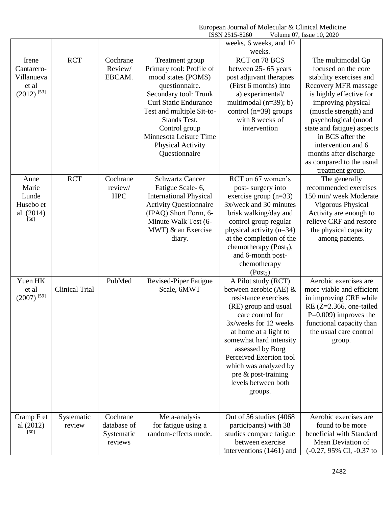|                          |                       |             |                               | ISSN 2515-8260                             | Volume 07, Issue 10, 2020                   |
|--------------------------|-----------------------|-------------|-------------------------------|--------------------------------------------|---------------------------------------------|
|                          |                       |             |                               | weeks, 6 weeks, and 10                     |                                             |
|                          |                       |             |                               | weeks.                                     |                                             |
| Irene                    | <b>RCT</b>            | Cochrane    | Treatment group               | RCT on 78 BCS                              | The multimodal Gp                           |
| Cantarero-               |                       | Review/     | Primary tool: Profile of      | between 25- 65 years                       | focused on the core                         |
| Villanueva               |                       | EBCAM.      | mood states (POMS)            | post adjuvant therapies                    | stability exercises and                     |
| et al                    |                       |             | questionnaire.                | (First 6 months) into                      | <b>Recovery MFR</b> massage                 |
| $(2012)$ <sup>[53]</sup> |                       |             | Secondary tool: Trunk         | a) experimental/                           | is highly effective for                     |
|                          |                       |             | <b>Curl Static Endurance</b>  | multimodal $(n=39)$ ; b)                   | improving physical                          |
|                          |                       |             | Test and multiple Sit-to-     | control $(n=39)$ groups                    | (muscle strength) and                       |
|                          |                       |             | Stands Test.                  | with 8 weeks of                            | psychological (mood                         |
|                          |                       |             | Control group                 | intervention                               | state and fatigue) aspects                  |
|                          |                       |             | Minnesota Leisure Time        |                                            | in BCS after the                            |
|                          |                       |             | <b>Physical Activity</b>      |                                            | intervention and 6                          |
|                          |                       |             | Questionnaire                 |                                            | months after discharge                      |
|                          |                       |             |                               |                                            | as compared to the usual                    |
|                          |                       |             |                               |                                            | treatment group.                            |
| Anne                     | <b>RCT</b>            | Cochrane    | <b>Schwartz Cancer</b>        | RCT on 67 women's                          | The generally                               |
| Marie                    |                       | review/     | Fatigue Scale-6,              | post-surgery into                          | recommended exercises                       |
| Lunde                    |                       | <b>HPC</b>  | <b>International Physical</b> | exercise group $(n=33)$                    | 150 min/ week Moderate                      |
| Husebo et                |                       |             | <b>Activity Questionnaire</b> | 3x/week and 30 minutes                     | Vigorous Physical                           |
| al (2014)                |                       |             | (IPAQ) Short Form, 6-         | brisk walking/day and                      | Activity are enough to                      |
| $[58]$                   |                       |             | Minute Walk Test (6-          | control group regular                      | relieve CRF and restore                     |
|                          |                       |             | $MWT$ ) $\&$ an Exercise      | physical activity $(n=34)$                 | the physical capacity                       |
|                          |                       |             | diary.                        | at the completion of the                   | among patients.                             |
|                          |                       |             |                               | chemotherapy $(Post1)$ ,                   |                                             |
|                          |                       |             |                               | and 6-month post-                          |                                             |
|                          |                       |             |                               | chemotherapy                               |                                             |
|                          |                       |             |                               | (Post <sub>2</sub> )                       |                                             |
| Yuen HK                  |                       | PubMed      | Revised-Piper Fatigue         | A Pilot study (RCT)                        | Aerobic exercises are                       |
| et al                    | <b>Clinical Trial</b> |             | Scale, 6MWT                   | between aerobic (AE) $\&$                  | more viable and efficient                   |
| $(2007)$ <sup>[59]</sup> |                       |             |                               | resistance exercises                       | in improving CRF while                      |
|                          |                       |             |                               | (RE) group and usual                       | RE $(Z=2.366,$ one-tailed                   |
|                          |                       |             |                               | care control for                           | $P=0.009$ ) improves the                    |
|                          |                       |             |                               | 3x/weeks for 12 weeks                      | functional capacity than                    |
|                          |                       |             |                               | at home at a light to                      | the usual care control                      |
|                          |                       |             |                               | somewhat hard intensity                    | group.                                      |
|                          |                       |             |                               | assessed by Borg                           |                                             |
|                          |                       |             |                               | Perceived Exertion tool                    |                                             |
|                          |                       |             |                               | which was analyzed by                      |                                             |
|                          |                       |             |                               | pre & post-training<br>levels between both |                                             |
|                          |                       |             |                               |                                            |                                             |
|                          |                       |             |                               | groups.                                    |                                             |
|                          |                       |             |                               |                                            |                                             |
| Cramp F et               | Systematic            | Cochrane    | Meta-analysis                 | Out of 56 studies (4068)                   | Aerobic exercises are                       |
| al $(2012)$              | review                | database of | for fatigue using a           | participants) with 38                      | found to be more                            |
| [60]                     |                       | Systematic  | random-effects mode.          | studies compare fatigue                    | beneficial with Standard                    |
|                          |                       | reviews     |                               | between exercise                           | Mean Deviation of                           |
|                          |                       |             |                               | interventions (1461) and                   | $(-0.27, 95\% \text{ CI}, -0.37 \text{ to}$ |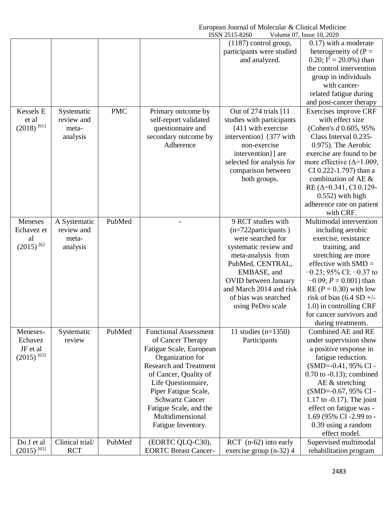|                           |                 |            |                               | ISSN 2515-8260              | Volume 07, Issue 10, 2020         |
|---------------------------|-----------------|------------|-------------------------------|-----------------------------|-----------------------------------|
|                           |                 |            |                               | $(1187)$ control group,     | $0.17$ ) with a moderate          |
|                           |                 |            |                               | participants were studied   | heterogeneity of $(P =$           |
|                           |                 |            |                               | and analyzed.               | 0.20; $I^2 = 20.0\%$ ) than       |
|                           |                 |            |                               |                             | the control intervention          |
|                           |                 |            |                               |                             | group in individuals              |
|                           |                 |            |                               |                             | with cancer-                      |
|                           |                 |            |                               |                             | related fatigue during            |
|                           |                 |            |                               |                             | and post-cancer therapy           |
| Kessels E                 | Systematic      | <b>PMC</b> | Primary outcome by            | Out of $274$ trials $[11]$  | Exercises improve CRF             |
| et al                     | review and      |            | self-report validated         | studies with participants   | with effect size                  |
| $(2018)$ <sup>[61]</sup>  | meta-           |            | questionnaire and             | {411 with exercise          | (Cohen's d 0.605, 95%)            |
|                           | analysis        |            | secondary outcome by          | intervention { 377 with     | Class Interval 0.235-             |
|                           |                 |            | Adherence                     | non-exercise                | 0.975). The Aerobic               |
|                           |                 |            |                               | intervention}] are          | exercise are found to be          |
|                           |                 |            |                               | selected for analysis for   | more effective ( $\Delta$ =1.009, |
|                           |                 |            |                               | comparison between          | CI 0.222-1.797) than a            |
|                           |                 |            |                               | both groups.                | combination of AE &               |
|                           |                 |            |                               |                             | RE ( $\Delta$ =0.341, CI 0.129-   |
|                           |                 |            |                               |                             | $0.552$ ) with high               |
|                           |                 |            |                               |                             | adherence rate on patient         |
|                           |                 |            |                               |                             | with CRF.                         |
| Meneses                   | A Systematic    | PubMed     |                               | 9 RCT studies with          | Multimodal intervention           |
| Echavez et                | review and      |            |                               | (n=722participants)         | including aerobic                 |
| al                        | meta-           |            |                               | were searched for           | exercise, resistance              |
| $(2015)$ <sup>[62</sup> ] | analysis        |            |                               | systematic review and       | training, and                     |
|                           |                 |            |                               | meta-analysis from          | stretching are more               |
|                           |                 |            |                               | PubMed, CENTRAL,            | effective with $SMD =$            |
|                           |                 |            |                               | EMBASE, and                 | $-0.23$ ; 95% CI: $-0.37$ to      |
|                           |                 |            |                               | <b>OVID</b> between January | $-0.09; P = 0.001$ ) than         |
|                           |                 |            |                               | and March 2014 and risk     | RE $(P = 0.30)$ with low          |
|                           |                 |            |                               | of bias was searched        | risk of bias $(6.4 SD +/-$        |
|                           |                 |            |                               | using PeDro scale           | 1.0) in controlling CRF           |
|                           |                 |            |                               |                             | for cancer survivors and          |
|                           |                 |            |                               |                             | during treatments.                |
| Meneses-                  | Systematic      | PubMed     | <b>Functional Assessment</b>  | 11 studies $(n=1350)$       | Combined AE and RE                |
| Echavez                   | review          |            | of Cancer Therapy             | Participants                | under supervision show            |
| JF et al                  |                 |            | Fatigue Scale, European       |                             | a positive response in            |
| $(2015)$ <sup>[63]</sup>  |                 |            | Organization for              |                             | fatigue reduction.                |
|                           |                 |            | <b>Research and Treatment</b> |                             | (SMD=-0.41, 95% CI-               |
|                           |                 |            | of Cancer, Quality of         |                             | $0.70$ to $-0.13$ ; combined      |
|                           |                 |            | Life Questionnaire,           |                             | AE $&$ stretching                 |
|                           |                 |            | Piper Fatigue Scale,          |                             | (SMD=-0.67, 95% CI -              |
|                           |                 |            | <b>Schwartz Cancer</b>        |                             | $1.17$ to $-0.17$ ). The joint    |
|                           |                 |            | Fatigue Scale, and the        |                             | effect on fatigue was -           |
|                           |                 |            | Multidimensional              |                             | 1.69 (95% CI-2.99 to -            |
|                           |                 |            | Fatigue Inventory.            |                             | 0.39 using a random               |
|                           |                 |            |                               |                             | effect model.                     |
| Do J et al                | Clinical trial/ | PubMed     | (EORTC QLQ-C30),              | RCT (n-62) into early       | Supervised multimodal             |
| $(2015)$ <sup>[65]</sup>  | <b>RCT</b>      |            | <b>EORTC Breast Cancer-</b>   | exercise group $(n-32)$ 4   | rehabilitation program            |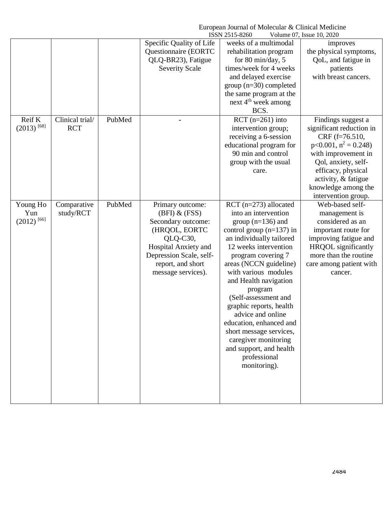|                          |                 |        |                                                  | ISSN 2515-8260                                  | Volume 07, Issue 10, 2020              |
|--------------------------|-----------------|--------|--------------------------------------------------|-------------------------------------------------|----------------------------------------|
|                          |                 |        | Specific Quality of Life<br>Questionnaire (EORTC | weeks of a multimodal<br>rehabilitation program | improves<br>the physical symptoms,     |
|                          |                 |        | QLQ-BR23), Fatigue                               | for 80 min/day, 5                               | QoL, and fatigue in                    |
|                          |                 |        | <b>Severity Scale</b>                            | times/week for 4 weeks                          | patients                               |
|                          |                 |        |                                                  | and delayed exercise                            | with breast cancers.                   |
|                          |                 |        |                                                  | $group (n=30) completed$                        |                                        |
|                          |                 |        |                                                  | the same program at the                         |                                        |
|                          |                 |        |                                                  | next 4 <sup>th</sup> week among                 |                                        |
|                          |                 |        |                                                  | BCS.                                            |                                        |
| Reif K                   | Clinical trial/ | PubMed |                                                  | RCT $(n=261)$ into                              | Findings suggest a                     |
| $(2013)$ <sup>[68]</sup> | <b>RCT</b>      |        |                                                  | intervention group;                             | significant reduction in               |
|                          |                 |        |                                                  | receiving a 6-session                           | CRF (f=76.510,                         |
|                          |                 |        |                                                  | educational program for                         | $p<0.001$ , $n^2 = 0.248$ )            |
|                          |                 |        |                                                  | 90 min and control                              | with improvement in                    |
|                          |                 |        |                                                  | group with the usual                            | Qol, anxiety, self-                    |
|                          |                 |        |                                                  | care.                                           | efficacy, physical                     |
|                          |                 |        |                                                  |                                                 | activity, & fatigue                    |
|                          |                 |        |                                                  |                                                 | knowledge among the                    |
| Young Ho                 | Comparative     | PubMed | Primary outcome:                                 | RCT $(n=273)$ allocated                         | intervention group.<br>Web-based self- |
| Yun                      | study/RCT       |        | $(BFI)$ & $(FSS)$                                | into an intervention                            | management is                          |
| $(2012)$ <sup>[66]</sup> |                 |        | Secondary outcome:                               | group $(n=136)$ and                             | considered as an                       |
|                          |                 |        | (HRQOL, EORTC                                    | control group $(n=137)$ in                      | important route for                    |
|                          |                 |        | QLQ-C30,                                         | an individually tailored                        | improving fatigue and                  |
|                          |                 |        | Hospital Anxiety and                             | 12 weeks intervention                           | <b>HRQOL</b> significantly             |
|                          |                 |        | Depression Scale, self-                          | program covering 7                              | more than the routine                  |
|                          |                 |        | report, and short                                | areas (NCCN guideline)                          | care among patient with                |
|                          |                 |        | message services).                               | with various modules                            | cancer.                                |
|                          |                 |        |                                                  | and Health navigation                           |                                        |
|                          |                 |        |                                                  | program                                         |                                        |
|                          |                 |        |                                                  | (Self-assessment and                            |                                        |
|                          |                 |        |                                                  | graphic reports, health                         |                                        |
|                          |                 |        |                                                  | advice and online                               |                                        |
|                          |                 |        |                                                  | education, enhanced and                         |                                        |
|                          |                 |        |                                                  | short message services,                         |                                        |
|                          |                 |        |                                                  | caregiver monitoring                            |                                        |
|                          |                 |        |                                                  | and support, and health                         |                                        |
|                          |                 |        |                                                  | professional                                    |                                        |
|                          |                 |        |                                                  | monitoring).                                    |                                        |
|                          |                 |        |                                                  |                                                 |                                        |
|                          |                 |        |                                                  |                                                 |                                        |
|                          |                 |        |                                                  |                                                 |                                        |
|                          |                 |        |                                                  |                                                 |                                        |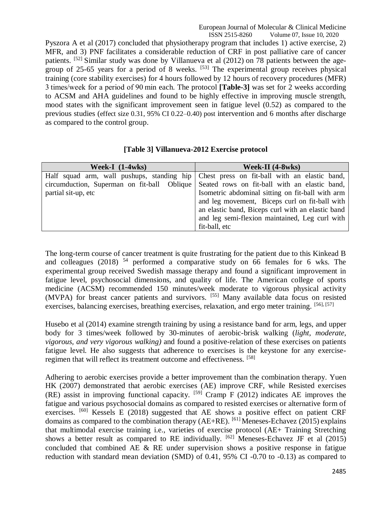Pyszora A et al (2017) concluded that physiotherapy program that includes 1) active exercise, 2) MFR, and 3) PNF facilitates a considerable reduction of CRF in post palliative care of cancer patients. [52] Similar study was done by Villanueva et al (2012) on 78 patients between the agegroup of 25-65 years for a period of 8 weeks.  $[53]$  The experimental group receives physical training (core stability exercises) for 4 hours followed by 12 hours of recovery procedures (MFR) 3 times/week for a period of 90 min each. The protocol **[Table-3]** was set for 2 weeks according to ACSM and AHA guidelines and found to be highly effective in improving muscle strength, mood states with the significant improvement seen in fatigue level (0.52) as compared to the previous studies (effect size 0.31, 95% CI 0.22–0.40) post intervention and 6 months after discharge as compared to the control group.

| Week-I (1-4wks)     | Week-II (4-8wks)                                                                          |
|---------------------|-------------------------------------------------------------------------------------------|
|                     | Half squad arm, wall pushups, standing hip Chest press on fit-ball with an elastic band,  |
|                     | circumduction, Superman on fit-ball Oblique Seated rows on fit-ball with an elastic band, |
| partial sit-up, etc | Isometric abdominal sitting on fit-ball with arm                                          |
|                     | and leg movement, Biceps curl on fit-ball with                                            |
|                     | an elastic band, Biceps curl with an elastic band                                         |
|                     | and leg semi-flexion maintained, Leg curl with                                            |
|                     | fit-ball, etc                                                                             |

**[Table 3] Villanueva-2012 Exercise protocol**

The long-term course of cancer treatment is quite frustrating for the patient due to this Kinkead B and colleagues (2018)  $54$  performed a comparative study on 66 females for 6 wks. The experimental group received Swedish massage therapy and found a significant improvement in fatigue level, psychosocial dimensions, and quality of life. The American college of sports medicine (ACSM) recommended 150 minutes/week moderate to vigorous physical activity (MVPA) for breast cancer patients and survivors. [55] Many available data focus on resisted exercises, balancing exercises, breathing exercises, relaxation, and ergo meter training. [56], [57]

Husebo et al (2014) examine strength training by using a resistance band for arm, legs, and upper body for 3 times/week followed by 30-minutes of aerobic-brisk walking (*light, moderate, vigorous, and very vigorous walking)* and found a positive-relation of these exercises on patients fatigue level. He also suggests that adherence to exercises is the keystone for any exerciseregimen that will reflect its treatment outcome and effectiveness. [58]

Adhering to aerobic exercises provide a better improvement than the combination therapy. Yuen HK (2007) demonstrated that aerobic exercises (AE) improve CRF, while Resisted exercises (RE) assist in improving functional capacity.  $[59]$  Cramp F (2012) indicates AE improves the fatigue and various psychosocial domains as compared to resisted exercises or alternative form of exercises. <sup>[60]</sup> Kessels E (2018) suggested that AE shows a positive effect on patient CRF domains as compared to the combination therapy (AE+RE). <sup>[61]</sup> Meneses-Echavez (2015) explains that multimodal exercise training i.e., varieties of exercise protocol (AE+ Training Stretching shows a better result as compared to RE individually.  $[62]$  Meneses-Echavez JF et al (2015) concluded that combined AE  $\&$  RE under supervision shows a positive response in fatigue reduction with standard mean deviation (SMD) of 0.41, 95% CI -0.70 to -0.13) as compared to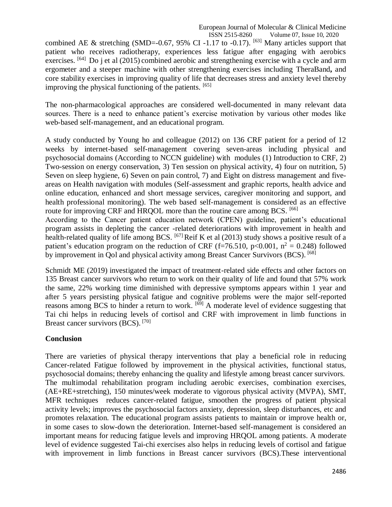combined AE & stretching (SMD=-0.67, 95% CI-1.17 to -0.17). <sup>[63]</sup> Many articles support that patient who receives radiotherapy, experiences less fatigue after engaging with aerobics exercises. <sup>[64]</sup> Do j et al (2015) combined aerobic and strengthening exercise with a cycle and arm ergometer and a steeper machine with other strengthening exercises including TheraBand**,** and core stability exercises in improving quality of life that decreases stress and anxiety level thereby improving the physical functioning of the patients. [65]

The non-pharmacological approaches are considered well-documented in many relevant data sources. There is a need to enhance patient's exercise motivation by various other modes like web-based self-management, and an educational program.

A study conducted by Young ho and colleague (2012) on 136 CRF patient for a period of 12 weeks by internet-based self-management covering seven-areas including physical and psychosocial domains (According to NCCN guideline) with modules (1) Introduction to CRF, 2) Two-session on energy conservation, 3) Ten session on physical activity, 4) four on nutrition, 5) Seven on sleep hygiene, 6) Seven on pain control, 7) and Eight on distress management and fiveareas on Health navigation with modules (Self-assessment and graphic reports, health advice and online education, enhanced and short message services, caregiver monitoring and support, and health professional monitoring). The web based self-management is considered as an effective route for improving CRF and HROOL more than the routine care among BCS. [66]

According to the Cancer patient education network (CPEN) guideline, patient's educational program assists in depleting the cancer -related deteriorations with improvement in health and health-related quality of life among BCS. <sup>[67]</sup> Reif K et al (2013) study shows a positive result of a patient's education program on the reduction of CRF (f=76.510, p<0.001,  $n^2 = 0.248$ ) followed by improvement in Qol and physical activity among Breast Cancer Survivors (BCS). [68]

Schmidt ME (2019) investigated the impact of treatment-related side effects and other factors on 135 Breast cancer survivors who return to work on their quality of life and found that 57% work the same, 22% working time diminished with depressive symptoms appears within 1 year and after 5 years persisting physical fatigue and cognitive problems were the major self-reported reasons among BCS to hinder a return to work. <sup>[69]</sup> A moderate level of evidence suggesting that Tai chi helps in reducing levels of cortisol and CRF with improvement in limb functions in Breast cancer survivors (BCS). [70]

## **Conclusion**

There are varieties of physical therapy interventions that play a beneficial role in reducing Cancer-related Fatigue followed by improvement in the physical activities, functional status, psychosocial domains; thereby enhancing the quality and lifestyle among breast cancer survivors. The multimodal rehabilitation program including aerobic exercises, combination exercises, (AE+RE+stretching), 150 minutes/week moderate to vigorous physical activity (MVPA), SMT, MFR techniques reduces cancer-related fatigue, smoothen the progress of patient physical activity levels; improves the psychosocial factors anxiety, depression, sleep disturbances, etc and promotes relaxation. The educational program assists patients to maintain or improve health or, in some cases to slow-down the deterioration. Internet-based self-management is considered an important means for reducing fatigue levels and improving HRQOL among patients. A moderate level of evidence suggested Tai-chi exercises also helps in reducing levels of cortisol and fatigue with improvement in limb functions in Breast cancer survivors (BCS).These interventional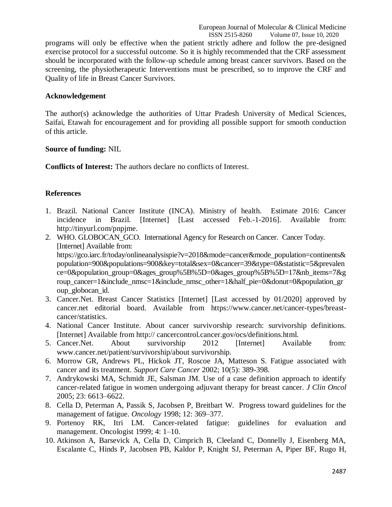programs will only be effective when the patient strictly adhere and follow the pre-designed exercise protocol for a successful outcome. So it is highly recommended that the CRF assessment should be incorporated with the follow-up schedule among breast cancer survivors. Based on the screening, the physiotherapeutic Interventions must be prescribed, so to improve the CRF and Quality of life in Breast Cancer Survivors.

### **Acknowledgement**

The author(s) acknowledge the authorities of Uttar Pradesh University of Medical Sciences, Saifai, Etawah for encouragement and for providing all possible support for smooth conduction of this article.

#### **Source of funding:** NIL

**Conflicts of Interest:** The authors declare no conflicts of Interest.

## **References**

- 1. Brazil. National Cancer Institute (INCA). Ministry of health. Estimate 2016: Cancer incidence in Brazil. [Internet] [Last accessed Feb.-1-2016]. Available from: [http://tinyurl.com/pnpjme.](http://tinyurl.com/pnpjme)
- 2. WHO. GLOBOCAN\_GCO. International Agency for Research on Cancer. Cancer Today. [Internet] Available from: [https://gco.iarc.fr/today/onlineanalysispie?v=2018&mode=cancer&mode\\_population=continents&](https://gco.iarc.fr/today/onlineanalysispie?v=2018&mode=cancer&mode_population=continents&population=900&populations=900&key=total&sex=0&cancer=39&type=0&statistic=5&prevalence=0&population_group=0&ages_group%5B%5D=0&ages_group%5B%5D=17&nb_items=7&group_cancer=1&include_nmsc=1&include_nmsc_other=1&half_pie=0&donut=0&population_group_globocan_id) [population=900&populations=900&key=total&sex=0&cancer=39&type=0&statistic=5&prevalen](https://gco.iarc.fr/today/onlineanalysispie?v=2018&mode=cancer&mode_population=continents&population=900&populations=900&key=total&sex=0&cancer=39&type=0&statistic=5&prevalence=0&population_group=0&ages_group%5B%5D=0&ages_group%5B%5D=17&nb_items=7&group_cancer=1&include_nmsc=1&include_nmsc_other=1&half_pie=0&donut=0&population_group_globocan_id) [ce=0&population\\_group=0&ages\\_group%5B%5D=0&ages\\_group%5B%5D=17&nb\\_items=7&g](https://gco.iarc.fr/today/onlineanalysispie?v=2018&mode=cancer&mode_population=continents&population=900&populations=900&key=total&sex=0&cancer=39&type=0&statistic=5&prevalence=0&population_group=0&ages_group%5B%5D=0&ages_group%5B%5D=17&nb_items=7&group_cancer=1&include_nmsc=1&include_nmsc_other=1&half_pie=0&donut=0&population_group_globocan_id) [roup\\_cancer=1&include\\_nmsc=1&include\\_nmsc\\_other=1&half\\_pie=0&donut=0&population\\_gr](https://gco.iarc.fr/today/onlineanalysispie?v=2018&mode=cancer&mode_population=continents&population=900&populations=900&key=total&sex=0&cancer=39&type=0&statistic=5&prevalence=0&population_group=0&ages_group%5B%5D=0&ages_group%5B%5D=17&nb_items=7&group_cancer=1&include_nmsc=1&include_nmsc_other=1&half_pie=0&donut=0&population_group_globocan_id) [oup\\_globocan\\_id.](https://gco.iarc.fr/today/onlineanalysispie?v=2018&mode=cancer&mode_population=continents&population=900&populations=900&key=total&sex=0&cancer=39&type=0&statistic=5&prevalence=0&population_group=0&ages_group%5B%5D=0&ages_group%5B%5D=17&nb_items=7&group_cancer=1&include_nmsc=1&include_nmsc_other=1&half_pie=0&donut=0&population_group_globocan_id)
- 3. Cancer.Net. Breast Cancer Statistics [Internet] [Last accessed by 01/2020] approved by cancer.net editorial board. Available from [https://www.cancer.net/cancer-types/breast](https://www.cancer.net/cancer-types/breast-cancer/statistics)[cancer/statistics.](https://www.cancer.net/cancer-types/breast-cancer/statistics)
- 4. National Cancer Institute. About cancer survivorship research: survivorship definitions. [Internet] Available from http:// cancercontrol.cancer.gov/ocs/definitions.html.
- 5. Cancer.Net. About survivorship 2012 [Internet] Available from: www.cancer.net/patient/survivorship/about survivorship.
- 6. Morrow GR, Andrews PL, Hickok JT, Roscoe JA, Matteson S. Fatigue associated with cancer and its treatment. *Support Care Cancer* 2002; 10(5): 389-398.
- 7. Andrykowski MA, Schmidt JE, Salsman JM. Use of a case definition approach to identify cancer-related fatigue in women undergoing adjuvant therapy for breast cancer. *J Clin Oncol* 2005; 23: 6613–6622.
- 8. Cella D, Peterman A, Passik S, Jacobsen P, Breitbart W. Progress toward guidelines for the management of fatigue. *Oncology* 1998; 12: 369–377.
- 9. Portenoy RK, Itri LM. Cancer-related fatigue: guidelines for evaluation and management. Oncologist 1999; 4: 1–10.
- 10. Atkinson A, Barsevick A, Cella D, Cimprich B, Cleeland C, Donnelly J, Eisenberg MA, Escalante C, Hinds P, Jacobsen PB, Kaldor P, Knight SJ, Peterman A, Piper BF, Rugo H,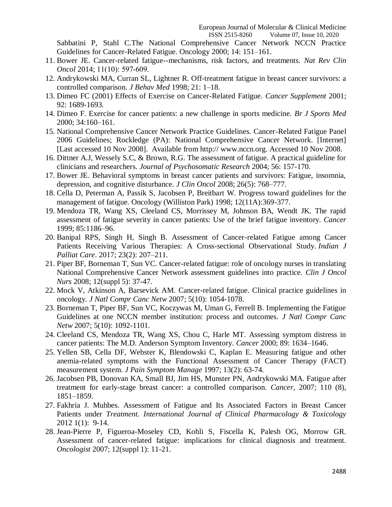Sabbatini P, Stahl C.The National Comprehensive Cancer Network NCCN Practice Guidelines for Cancer-Related Fatigue. Oncology 2000; 14: 151–161.

- 11. Bower JE. Cancer-related fatigue--mechanisms, risk factors, and treatments. *Nat Rev Clin Oncol* 2014; 11(10): 597‐609.
- 12. Andrykowski MA, Curran SL, Lightner R. Off-treatment fatigue in breast cancer survivors: a controlled comparison. *J Behav Med* 1998; 21: 1–18.
- 13. Dimeo FC (2001) Effects of Exercise on Cancer-Related Fatigue. *Cancer Supplement* 2001; 92: 1689-1693.
- 14. Dimeo F. Exercise for cancer patients: a new challenge in sports medicine. *Br J Sports Med* 2000; 34:160–161.
- 15. National Comprehensive Cancer Network Practice Guidelines. Cancer-Related Fatigue Panel 2006 Guidelines; Rockledge (PA): National Comprehensive Cancer Network. [Internet] [Last accessed 10 Nov 2008]. Available from http:// www.nccn.org. Accessed 10 Nov 2008.
- 16. Dittner A.J, Wessely S.C, & Brown, R.G. The assessment of fatigue. A practical guideline for clinicians and researchers. *Journal of Psychosomatic Research* 2004; 56: 157-170.
- 17. Bower JE. Behavioral symptoms in breast cancer patients and survivors: Fatigue, insomnia, depression, and cognitive disturbance. *J Clin Oncol* 2008; 26(5): 768–777.
- 18. Cella D, Peterman A, Passik S, Jacobsen P, Breitbart W. Progress toward guidelines for the management of fatigue. Oncology (Williston Park) 1998; 12(11A):369-377.
- 19. Mendoza TR, Wang XS, Cleeland CS, Morrissey M, Johnson BA, Wendt JK. The rapid assessment of fatigue severity in cancer patients: Use of the brief fatigue inventory. *Cancer* 1999; 85:1186–96.
- 20. Banipal RPS, Singh H, Singh B. Assessment of Cancer-related Fatigue among Cancer Patients Receiving Various Therapies: A Cross-sectional Observational Study. *Indian J Palliat Care*. 2017; 23(2): 207–211.
- 21. Piper BF, Borneman T, Sun VC. Cancer-related fatigue: role of oncology nurses in translating National Comprehensive Cancer Network assessment guidelines into practice. *Clin J Oncol Nurs* 2008; 12(suppl 5): 37-47.
- 22. Mock V, Atkinson A, Barsevick AM. Cancer-related fatigue. Clinical practice guidelines in oncology. *J Natl Compr Canc Netw* 2007; 5(10): 1054-1078.
- 23. Borneman T, Piper BF, Sun VC, Koczywas M, Uman G, Ferrell B. Implementing the Fatigue Guidelines at one NCCN member institution: process and outcomes. *J Natl Compr Canc Netw* 2007; 5(10): 1092-1101.
- 24. Cleeland CS, Mendoza TR, Wang XS, Chou C, Harle MT. Assessing symptom distress in cancer patients: The M.D. Anderson Symptom Inventory*. Cancer* 2000; 89: 1634–1646.
- 25. Yellen SB, Cella DF, Webster K, Blendowski C, Kaplan E. Measuring fatigue and other anemia-related symptoms with the Functional Assessment of Cancer Therapy (FACT) measurement system. *J Pain Symptom Manage* 1997; 13(2): 63-74.
- 26. Jacobsen PB, Donovan KA, Small BJ, Jim HS, Munster PN, Andrykowski MA. Fatigue after treatment for early-stage breast cancer: a controlled comparison. *Cancer*, 2007; 110 (8), 1851–1859.
- 27. Fakhria J. Muhbes. Assessment of Fatigue and Its Associated Factors in Breast Cancer Patients under *Treatment. International Journal of Clinical Pharmacology & Toxicology* 2012 1(1): 9-14.
- 28. Jean-Pierre P, Figueroa-Moseley CD, Kohli S, Fiscella K, Palesh OG, Morrow GR. Assessment of cancer-related fatigue: implications for clinical diagnosis and treatment. *Oncologist* 2007; 12(suppl 1): 11-21.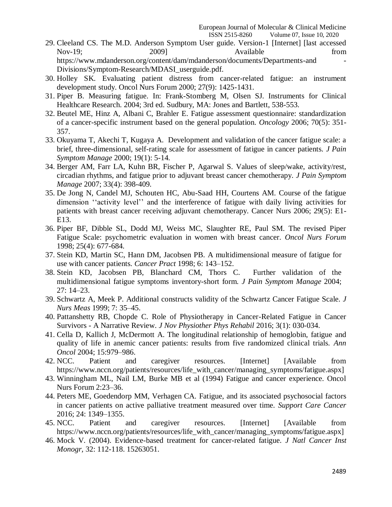- 29. Cleeland CS. The M.D. Anderson Symptom User guide. Version-1 [Internet] [last accessed Nov-19; 2009] 2009 Available from https://www.mdanderson.org/content/dam/mdanderson/documents/Departments-and - Divisions/Symptom-Research/MDASI\_userguide.pdf.
- 30. Holley SK. Evaluating patient distress from cancer-related fatigue: an instrument development study. Oncol Nurs Forum 2000; 27(9): 1425-1431.
- 31. Piper B. Measuring fatigue. In: Frank-Stomberg M, Olsen SJ. Instruments for Clinical Healthcare Research. 2004; 3rd ed. Sudbury, MA: Jones and Bartlett, 538-553.
- 32. Beutel ME, Hinz A, Albani C, Brahler E. Fatigue assessment questionnaire: standardization of a cancer-specific instrument based on the general population. *Oncology* 2006; 70(5): 351- 357.
- 33. Okuyama T, Akechi T, Kugaya A. Development and validation of the cancer fatigue scale: a brief, three-dimensional, self-rating scale for assessment of fatigue in cancer patients. *J Pain Symptom Manage* 2000; 19(1): 5-14.
- 34. Berger AM, Farr LA, Kuhn BR, Fischer P, Agarwal S. Values of sleep/wake, activity/rest, circadian rhythms, and fatigue prior to adjuvant breast cancer chemotherapy. *J Pain Symptom Manage* 2007; 33(4): 398-409.
- 35. De Jong N, Candel MJ, Schouten HC, Abu-Saad HH, Courtens AM. Course of the fatigue dimension ''activity level'' and the interference of fatigue with daily living activities for patients with breast cancer receiving adjuvant chemotherapy. Cancer Nurs 2006; 29(5): E1- E13.
- 36. Piper BF, Dibble SL, Dodd MJ, Weiss MC, Slaughter RE, Paul SM. The revised Piper Fatigue Scale: psychometric evaluation in women with breast cancer. *Oncol Nurs Forum* 1998; 25(4): 677-684.
- 37. Stein KD, Martin SC, Hann DM, Jacobsen PB. A [multidimensional](http://www.ncbi.nlm.nih.gov/pubmed/9652245) measure of fatigue for use with cancer patients. *Cancer Pract* 1998; 6: [143–152.](http://www.ncbi.nlm.nih.gov/pubmed/9652245)
- 38. Stein KD, Jacobsen PB, Blanchard CM, Thors [C. Further](http://www.ncbi.nlm.nih.gov/pubmed/14711465) validation of the [multidimensional](http://www.ncbi.nlm.nih.gov/pubmed/14711465) fatigue symptoms inventory-short form. *J Pain Symptom Manage* 2004; 27: [14–23.](http://www.ncbi.nlm.nih.gov/pubmed/14711465)
- 39. Schwartz A, Meek P. [Additional](http://www.ncbi.nlm.nih.gov/pubmed/10394773) constructs validity of the Schwartz Cancer Fatigue Scale. *J Nurs Meas* 1999; 7: [35–45.](http://www.ncbi.nlm.nih.gov/pubmed/10394773)
- 40. Pattanshetty RB, Chopde C. Role of Physiotherapy in Cancer-Related Fatigue in Cancer Survivors - A Narrative Review. *J Nov Physiother Phys Rehabil* 2016; 3(1): 030-034.
- 41. Cella D, Kallich J, McDermott A. The longitudinal relationship of hemoglobin, fatigue and quality of life in anemic cancer patients: results from five randomized clinical trials. *Ann Oncol* 2004; 15:979–986.
- 42. NCC. Patient and caregiver resources. [Internet] [Available from https://www.nccn.org/patients/resources/life\_with\_cancer/managing\_symptoms/fatigue.aspx]
- 43. Winningham ML, Nail LM, Burke MB et al (1994) Fatigue and cancer experience. Oncol Nurs Forum 2:23–36.
- 44. Peters ME, Goedendorp MM, Verhagen CA. Fatigue, and its associated psychosocial factors in cancer patients on active palliative treatment measured over time. *Support Care Cancer* 2016; 24: 1349–1355.
- 45. NCC. Patient and caregiver resources. [Internet] [Available from https://www.nccn.org/patients/resources/life\_with\_cancer/managing\_symptoms/fatigue.aspx]
- 46. Mock V. (2004). Evidence-based treatment for cancer-related fatigue. *J Natl Cancer Inst Monogr,* 32: 112-118. 15263051.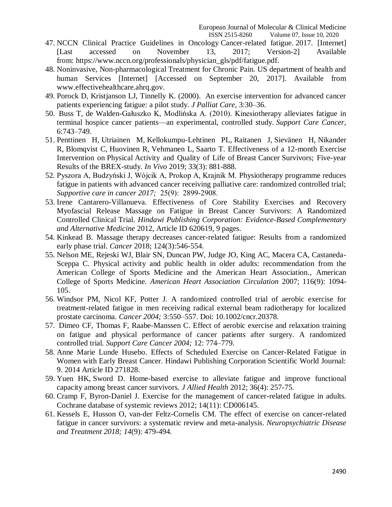- 47. NCCN Clinical Practice Guidelines in Oncology Cancer-related fatigue. 2017. [Internet] [Last accessed on November 13, 2017; Version-2] Available from: [https://www.nccn.org/professionals/physician\\_gls/pdf/fatigue.pdf.](https://www.nccn.org/professionals/physician_gls/pdf/fatigue.pdf)
- 48. Noninvasive, Non-pharmacological Treatment for Chronic Pain. US department of health and human Services [Internet] [Accessed on September 20, 2017]. Available from [www.effectivehealthcare.ahrq.gov.](http://www.effectivehealthcare.ahrq.gov/)
- 49. Porock D, Kristjanson LJ, Tinnelly K. (2000). An exercise intervention for advanced cancer patients experiencing fatigue: a pilot study. *J Palliat Care*, 3:30–36.
- 50. Buss T, de Walden-Gałuszko K, Modlińska A. (2010). Kinesiotherapy alleviates fatigue in terminal hospice cancer patients—an experimental, controlled study. *Support Care Cancer*, 6:743–749.
- 51. [Penttinen H,](https://www.ncbi.nlm.nih.gov/pubmed/?term=Penttinen%20H%5BAuthor%5D&cauthor=true&cauthor_uid=31028212) [Utriainen M,](https://www.ncbi.nlm.nih.gov/pubmed/?term=Utriainen%20M%5BAuthor%5D&cauthor=true&cauthor_uid=31028212) [Kellokumpu-Lehtinen PL,](https://www.ncbi.nlm.nih.gov/pubmed/?term=Kellokumpu-Lehtinen%20PL%5BAuthor%5D&cauthor=true&cauthor_uid=31028212) [Raitanen J,](https://www.ncbi.nlm.nih.gov/pubmed/?term=Raitanen%20J%5BAuthor%5D&cauthor=true&cauthor_uid=31028212) [Sievänen](https://www.ncbi.nlm.nih.gov/pubmed/?term=Siev%C3%A4nen%20H%5BAuthor%5D&cauthor=true&cauthor_uid=31028212) H, [Nikander](https://www.ncbi.nlm.nih.gov/pubmed/?term=Nikander%20R%5BAuthor%5D&cauthor=true&cauthor_uid=31028212)  [R,](https://www.ncbi.nlm.nih.gov/pubmed/?term=Nikander%20R%5BAuthor%5D&cauthor=true&cauthor_uid=31028212) [Blomqvist C,](https://www.ncbi.nlm.nih.gov/pubmed/?term=Blomqvist%20C%5BAuthor%5D&cauthor=true&cauthor_uid=31028212) [Huovinen R,](https://www.ncbi.nlm.nih.gov/pubmed/?term=Huovinen%20R%5BAuthor%5D&cauthor=true&cauthor_uid=31028212) [Vehmanen L,](https://www.ncbi.nlm.nih.gov/pubmed/?term=Vehmanen%20L%5BAuthor%5D&cauthor=true&cauthor_uid=31028212) [Saarto T.](https://www.ncbi.nlm.nih.gov/pubmed/?term=Saarto%20T%5BAuthor%5D&cauthor=true&cauthor_uid=31028212) Effectiveness of a 12-month Exercise Intervention on Physical Activity and Quality of Life of Breast Cancer Survivors; Five-year Results of the BREX-study. *[In Vivo](https://www.ncbi.nlm.nih.gov/pubmed/31028212)* 2019; 33(3): 881-888.
- 52. Pyszora A, Budzyński J, Wójcik A, Prokop A, Krajnik M. Physiotherapy programme reduces fatigue in patients with advanced cancer receiving palliative care: randomized controlled trial; *Supportive care in cancer 2017;* 25(9): 2899‐2908.
- 53. Irene Cantarero-Villanueva. Effectiveness of Core Stability Exercises and Recovery Myofascial Release Massage on Fatigue in Breast Cancer Survivors: A Randomized Controlled Clinical Trial. *Hindawi Publishing Corporation: Evidence-Based Complementary and Alternative Medicine* 2012, Article ID 620619, 9 pages.
- 54. Kinkead B. Massage therapy decreases cancer-related fatigue: Results from a randomized early phase trial. *Cancer* 2018; 124(3):546-554.
- 55. Nelson ME, Rejeski WJ, Blair SN, Duncan PW, Judge JO, King AC, Macera CA, Castaneda-Sceppa C. Physical activity and public health in older adults: recommendation from the American College of Sports Medicine and the American Heart Association., American College of Sports Medicine. *American Heart Association Circulation* 2007; 116(9): 1094- 105.
- 56. Windsor PM, Nicol KF, Potter J. A randomized controlled trial of aerobic exercise for treatment-related fatigue in men receiving radical external beam radiotherapy for localized prostate carcinoma. *Cancer 2004;* 3:550–557. Doi: 10.1002/cncr.20378.
- 57. Dimeo CF, Thomas F, Raabe-Manssen C. Effect of aerobic exercise and relaxation training on fatigue and physical performance of cancer patients after surgery. A randomized controlled trial. *Support Care Cancer 2004;* 12: 774–779.
- 58. Anne Marie Lunde Husebo. Effects of Scheduled Exercise on Cancer-Related Fatigue in Women with Early Breast Cancer. Hindawi Publishing Corporation Scientific World Journal: 9. 2014 Article ID 271828.
- 59. Yuen HK, Sword D. Home-based exercise to alleviate fatigue and improve functional capacity among breast cancer survivors. *J Allied Health* 2012; 36(4): 257-75.
- 60. Cramp F, Byron-Daniel J. Exercise for the management of cancer-related fatigue in adults. Cochrane database of systemic reviews 2012; 14(11): CD006145.
- 61. Kessels E, Husson O, van-der Feltz-Cornelis CM. The effect of exercise on cancer-related fatigue in cancer survivors: a systematic review and meta-analysis. *Neuropsychiatric Disease and Treatment 2018; 14*(9): 479-494.